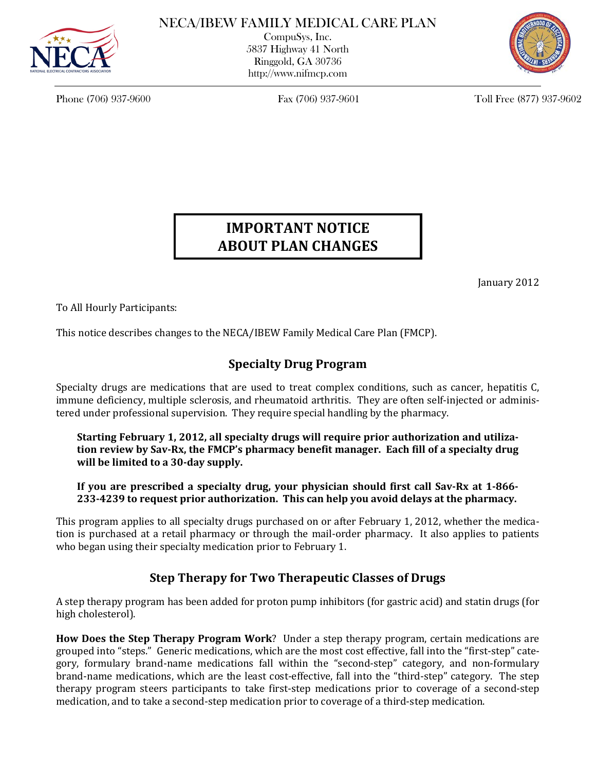

CompuSys, Inc. 5837 Highway 41 North Ringgold, GA 30736 http://www.nifmcp.com



Phone (706) 937-9600 Fax (706) 937-9601 Toll Free (877) 937-9602

# **IMPORTANT NOTICE ABOUT PLAN CHANGES**

January 2012

To All Hourly Participants:

This notice describes changes to the NECA/IBEW Family Medical Care Plan (FMCP).

## **Specialty Drug Program**

Specialty drugs are medications that are used to treat complex conditions, such as cancer, hepatitis C, immune deficiency, multiple sclerosis, and rheumatoid arthritis. They are often self-injected or administered under professional supervision. They require special handling by the pharmacy.

### **Starting February 1, 2012, all specialty drugs will require prior authorization and utilization review by Sav-Rx, the FMCP's pharmacy benefit manager. Each fill of a specialty drug will be limited to a 30-day supply.**

**If you are prescribed a specialty drug, your physician should first call Sav-Rx at 1-866- 233-4239 to request prior authorization. This can help you avoid delays at the pharmacy.**

This program applies to all specialty drugs purchased on or after February 1, 2012, whether the medication is purchased at a retail pharmacy or through the mail-order pharmacy. It also applies to patients who began using their specialty medication prior to February 1.

### **Step Therapy for Two Therapeutic Classes of Drugs**

A step therapy program has been added for proton pump inhibitors (for gastric acid) and statin drugs (for high cholesterol).

**How Does the Step Therapy Program Work**? Under a step therapy program, certain medications are grouped into "steps." Generic medications, which are the most cost effective, fall into the "first-step" category, formulary brand-name medications fall within the "second-step" category, and non-formulary brand-name medications, which are the least cost-effective, fall into the "third-step" category. The step therapy program steers participants to take first-step medications prior to coverage of a second-step medication, and to take a second-step medication prior to coverage of a third-step medication.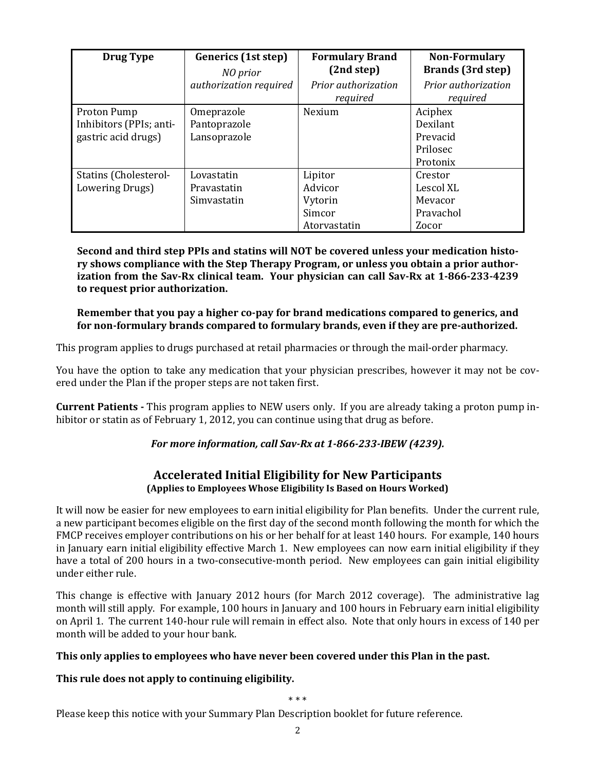| <b>Drug Type</b>                                              | Generics (1st step)<br>NO prior            | <b>Formulary Brand</b><br>(2nd step)                    | <b>Non-Formulary</b><br><b>Brands</b> (3rd step)        |
|---------------------------------------------------------------|--------------------------------------------|---------------------------------------------------------|---------------------------------------------------------|
|                                                               | authorization required                     | Prior authorization<br>required                         | Prior authorization<br>required                         |
| Proton Pump<br>Inhibitors (PPIs; anti-<br>gastric acid drugs) | Omeprazole<br>Pantoprazole<br>Lansoprazole | Nexium                                                  | Aciphex<br>Dexilant<br>Prevacid<br>Prilosec<br>Protonix |
| <b>Statins (Cholesterol-</b><br>Lowering Drugs)               | Lovastatin<br>Pravastatin<br>Simvastatin   | Lipitor<br>Advicor<br>Vytorin<br>Simcor<br>Atorvastatin | Crestor<br>Lescol XL<br>Mevacor<br>Pravachol<br>Zocor   |

**Second and third step PPIs and statins will NOT be covered unless your medication history shows compliance with the Step Therapy Program, or unless you obtain a prior authorization from the Sav-Rx clinical team. Your physician can call Sav-Rx at 1-866-233-4239 to request prior authorization.** 

#### **Remember that you pay a higher co-pay for brand medications compared to generics, and for non-formulary brands compared to formulary brands, even if they are pre-authorized.**

This program applies to drugs purchased at retail pharmacies or through the mail-order pharmacy.

You have the option to take any medication that your physician prescribes, however it may not be covered under the Plan if the proper steps are not taken first.

**Current Patients -** This program applies to NEW users only. If you are already taking a proton pump inhibitor or statin as of February 1, 2012, you can continue using that drug as before.

### *For more information, call Sav-Rx at 1-866-233-IBEW (4239).*

#### **Accelerated Initial Eligibility for New Participants (Applies to Employees Whose Eligibility Is Based on Hours Worked)**

It will now be easier for new employees to earn initial eligibility for Plan benefits. Under the current rule, a new participant becomes eligible on the first day of the second month following the month for which the FMCP receives employer contributions on his or her behalf for at least 140 hours. For example, 140 hours in January earn initial eligibility effective March 1. New employees can now earn initial eligibility if they have a total of 200 hours in a two-consecutive-month period. New employees can gain initial eligibility under either rule.

This change is effective with January 2012 hours (for March 2012 coverage). The administrative lag month will still apply. For example, 100 hours in January and 100 hours in February earn initial eligibility on April 1. The current 140-hour rule will remain in effect also. Note that only hours in excess of 140 per month will be added to your hour bank.

#### **This only applies to employees who have never been covered under this Plan in the past.**

### **This rule does not apply to continuing eligibility.**

\* \* \*

Please keep this notice with your Summary Plan Description booklet for future reference.